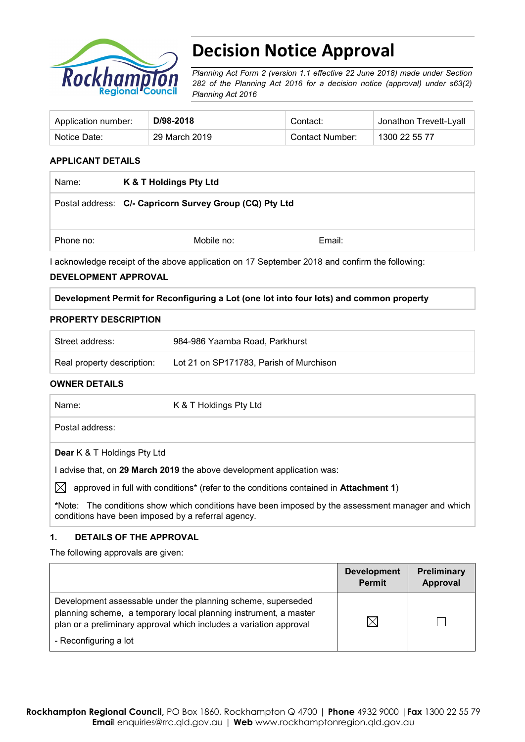

# **Decision Notice Approval**

*Planning Act Form 2 (version 1.1 effective 22 June 2018) made under Section 282 of the Planning Act 2016 for a decision notice (approval) under s63(2) Planning Act 2016*

| Application number: | D/98-2018     | Contact∵        | Jonathon Trevett-Lyall |
|---------------------|---------------|-----------------|------------------------|
| Notice Date:        | 29 March 2019 | Contact Number: | 1300 22 55 77          |

## **APPLICANT DETAILS**

| Name:     | K & T Holdings Pty Ltd                                  |        |  |
|-----------|---------------------------------------------------------|--------|--|
|           | Postal address: C/- Capricorn Survey Group (CQ) Pty Ltd |        |  |
| Phone no: | Mobile no:                                              | Email: |  |

I acknowledge receipt of the above application on 17 September 2018 and confirm the following:

#### **DEVELOPMENT APPROVAL**

|  |  |  | Development Permit for Reconfiguring a Lot (one lot into four lots) and common property |
|--|--|--|-----------------------------------------------------------------------------------------|
|  |  |  |                                                                                         |

#### **PROPERTY DESCRIPTION**

| Street address:            | 984-986 Yaamba Road, Parkhurst          |
|----------------------------|-----------------------------------------|
| Real property description: | Lot 21 on SP171783, Parish of Murchison |

#### **OWNER DETAILS**

| Name:                              | K & T Holdings Pty Ltd                                                                            |
|------------------------------------|---------------------------------------------------------------------------------------------------|
| Postal address:                    |                                                                                                   |
| <b>Dear</b> K & T Holdings Pty Ltd |                                                                                                   |
|                                    | I advise that, on 29 March 2019 the above development application was:                            |
| $\mathbb{X}$                       | approved in full with conditions* (refer to the conditions contained in <b>Attachment 1)</b>      |
|                                    | *Note: The conditions show which conditions have been imposed by the assessment manager and which |

**\***Note:The conditions show which conditions have been imposed by the assessment manager and which conditions have been imposed by a referral agency.

#### **1. DETAILS OF THE APPROVAL**

The following approvals are given:

|                                                                                                                                                                                                                                 | <b>Development</b><br><b>Permit</b> | <b>Preliminary</b><br><b>Approval</b> |
|---------------------------------------------------------------------------------------------------------------------------------------------------------------------------------------------------------------------------------|-------------------------------------|---------------------------------------|
| Development assessable under the planning scheme, superseded<br>planning scheme, a temporary local planning instrument, a master<br>plan or a preliminary approval which includes a variation approval<br>- Reconfiguring a lot | $\boxtimes$                         |                                       |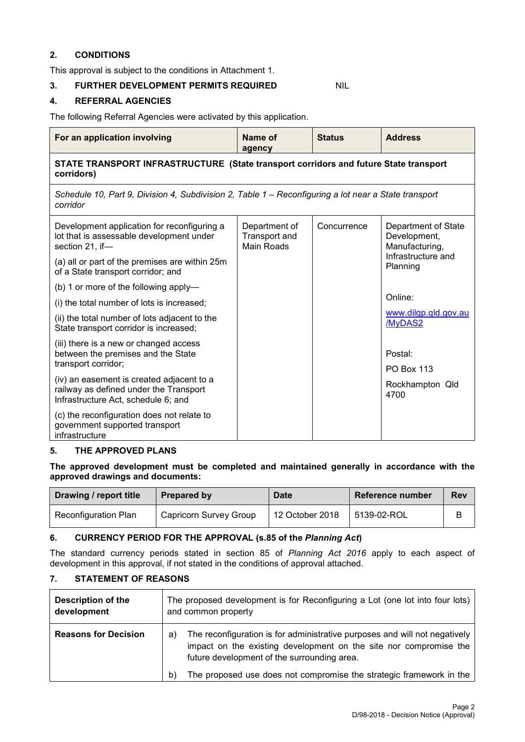## **2. CONDITIONS**

This approval is subject to the conditions in Attachment 1.

## **3. FURTHER DEVELOPMENT PERMITS REQUIRED** NIL

## **4. REFERRAL AGENCIES**

The following Referral Agencies were activated by this application.

| For an application involving                                                                                               | Name of<br>agency                                                                    | <b>Status</b> | <b>Address</b>                                        |  |  |  |
|----------------------------------------------------------------------------------------------------------------------------|--------------------------------------------------------------------------------------|---------------|-------------------------------------------------------|--|--|--|
| corridors)                                                                                                                 | STATE TRANSPORT INFRASTRUCTURE (State transport corridors and future State transport |               |                                                       |  |  |  |
| Schedule 10, Part 9, Division 4, Subdivision 2, Table 1 – Reconfiguring a lot near a State transport<br>corridor           |                                                                                      |               |                                                       |  |  |  |
| Development application for reconfiguring a<br>lot that is assessable development under<br>section 21, if-                 | Department of<br>Transport and<br><b>Main Roads</b>                                  | Concurrence   | Department of State<br>Development,<br>Manufacturing, |  |  |  |
| (a) all or part of the premises are within 25m<br>of a State transport corridor; and                                       |                                                                                      |               | Infrastructure and<br>Planning                        |  |  |  |
| (b) 1 or more of the following apply-                                                                                      |                                                                                      |               |                                                       |  |  |  |
| (i) the total number of lots is increased;                                                                                 |                                                                                      |               | Online:                                               |  |  |  |
| (ii) the total number of lots adjacent to the<br>State transport corridor is increased;                                    |                                                                                      |               | www.dilgp.qld.gov.au<br>/MyDAS2                       |  |  |  |
| (iii) there is a new or changed access<br>between the premises and the State<br>transport corridor;                        |                                                                                      |               | Postal:<br><b>PO Box 113</b>                          |  |  |  |
| (iv) an easement is created adjacent to a<br>railway as defined under the Transport<br>Infrastructure Act, schedule 6; and |                                                                                      |               | Rockhampton Qld<br>4700                               |  |  |  |
| (c) the reconfiguration does not relate to<br>government supported transport<br>infrastructure                             |                                                                                      |               |                                                       |  |  |  |

#### **5. THE APPROVED PLANS**

**The approved development must be completed and maintained generally in accordance with the approved drawings and documents:**

| Drawing / report title      | Prepared by            | <b>Date</b>     | Reference number | <b>Rev</b> |
|-----------------------------|------------------------|-----------------|------------------|------------|
| <b>Reconfiguration Plan</b> | Capricorn Survey Group | 12 October 2018 | 5139-02-ROL      |            |

## **6. CURRENCY PERIOD FOR THE APPROVAL (s.85 of the** *Planning Act***)**

The standard currency periods stated in section 85 of *Planning Act 2016* apply to each aspect of development in this approval, if not stated in the conditions of approval attached.

#### **7. STATEMENT OF REASONS**

| <b>Description of the</b><br>development | The proposed development is for Reconfiguring a Lot (one lot into four lots)<br>and common property                                                                                                  |  |
|------------------------------------------|------------------------------------------------------------------------------------------------------------------------------------------------------------------------------------------------------|--|
| <b>Reasons for Decision</b>              | The reconfiguration is for administrative purposes and will not negatively<br>a)<br>impact on the existing development on the site nor compromise the<br>future development of the surrounding area. |  |
|                                          | The proposed use does not compromise the strategic framework in the<br>b)                                                                                                                            |  |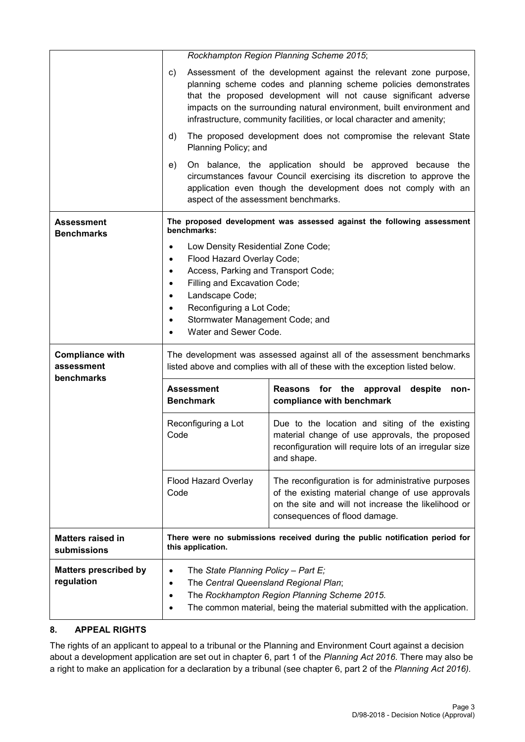|                                                    |                                                                       | Rockhampton Region Planning Scheme 2015;                                                                                                                                                                                                                                                                                                                  |  |  |  |  |
|----------------------------------------------------|-----------------------------------------------------------------------|-----------------------------------------------------------------------------------------------------------------------------------------------------------------------------------------------------------------------------------------------------------------------------------------------------------------------------------------------------------|--|--|--|--|
|                                                    | C)                                                                    | Assessment of the development against the relevant zone purpose,<br>planning scheme codes and planning scheme policies demonstrates<br>that the proposed development will not cause significant adverse<br>impacts on the surrounding natural environment, built environment and<br>infrastructure, community facilities, or local character and amenity; |  |  |  |  |
|                                                    | d)<br>Planning Policy; and                                            | The proposed development does not compromise the relevant State                                                                                                                                                                                                                                                                                           |  |  |  |  |
|                                                    | e)                                                                    | On balance, the application should be approved because the<br>circumstances favour Council exercising its discretion to approve the<br>application even though the development does not comply with an<br>aspect of the assessment benchmarks.                                                                                                            |  |  |  |  |
| Assessment                                         | benchmarks:                                                           | The proposed development was assessed against the following assessment                                                                                                                                                                                                                                                                                    |  |  |  |  |
| <b>Benchmarks</b>                                  | Low Density Residential Zone Code;                                    |                                                                                                                                                                                                                                                                                                                                                           |  |  |  |  |
|                                                    | Flood Hazard Overlay Code;<br>$\bullet$                               |                                                                                                                                                                                                                                                                                                                                                           |  |  |  |  |
|                                                    | Access, Parking and Transport Code;<br>$\bullet$                      |                                                                                                                                                                                                                                                                                                                                                           |  |  |  |  |
|                                                    | Filling and Excavation Code;<br>٠                                     |                                                                                                                                                                                                                                                                                                                                                           |  |  |  |  |
|                                                    | Landscape Code;<br>٠                                                  |                                                                                                                                                                                                                                                                                                                                                           |  |  |  |  |
|                                                    | Reconfiguring a Lot Code;                                             |                                                                                                                                                                                                                                                                                                                                                           |  |  |  |  |
|                                                    | Stormwater Management Code; and<br>$\bullet$<br>Water and Sewer Code. |                                                                                                                                                                                                                                                                                                                                                           |  |  |  |  |
|                                                    |                                                                       |                                                                                                                                                                                                                                                                                                                                                           |  |  |  |  |
| <b>Compliance with</b><br>assessment<br>benchmarks |                                                                       | The development was assessed against all of the assessment benchmarks<br>listed above and complies with all of these with the exception listed below.                                                                                                                                                                                                     |  |  |  |  |
|                                                    | <b>Assessment</b><br><b>Benchmark</b>                                 | Reasons<br>for the<br>despite<br>approval<br>non-<br>compliance with benchmark                                                                                                                                                                                                                                                                            |  |  |  |  |
|                                                    | Reconfiguring a Lot<br>Code                                           | Due to the location and siting of the existing<br>material change of use approvals, the proposed<br>reconfiguration will require lots of an irregular size<br>and shape.                                                                                                                                                                                  |  |  |  |  |
|                                                    | Flood Hazard Overlay<br>Code                                          | The reconfiguration is for administrative purposes<br>of the existing material change of use approvals<br>on the site and will not increase the likelihood or<br>consequences of flood damage.                                                                                                                                                            |  |  |  |  |
| <b>Matters raised in</b><br>submissions            | this application.                                                     | There were no submissions received during the public notification period for                                                                                                                                                                                                                                                                              |  |  |  |  |
| <b>Matters prescribed by</b>                       | The State Planning Policy - Part E;                                   |                                                                                                                                                                                                                                                                                                                                                           |  |  |  |  |
| regulation                                         | The Central Queensland Regional Plan;<br>$\bullet$                    |                                                                                                                                                                                                                                                                                                                                                           |  |  |  |  |
|                                                    | ٠                                                                     | The Rockhampton Region Planning Scheme 2015.                                                                                                                                                                                                                                                                                                              |  |  |  |  |
|                                                    |                                                                       | The common material, being the material submitted with the application.                                                                                                                                                                                                                                                                                   |  |  |  |  |

## **8. APPEAL RIGHTS**

The rights of an applicant to appeal to a tribunal or the Planning and Environment Court against a decision about a development application are set out in chapter 6, part 1 of the *Planning Act 2016*. There may also be a right to make an application for a declaration by a tribunal (see chapter 6, part 2 of the *Planning Act 2016).*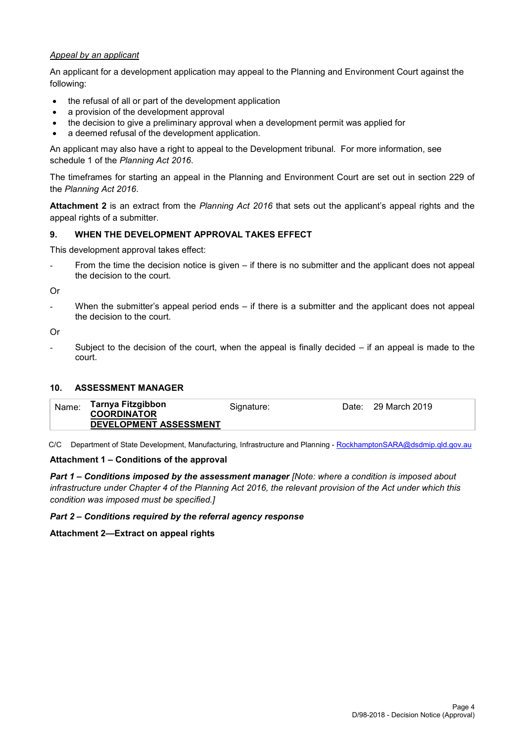#### *Appeal by an applicant*

An applicant for a development application may appeal to the Planning and Environment Court against the following:

- the refusal of all or part of the development application
- a provision of the development approval
- the decision to give a preliminary approval when a development permit was applied for
- a deemed refusal of the development application.

An applicant may also have a right to appeal to the Development tribunal. For more information, see schedule 1 of the *Planning Act 2016*.

The timeframes for starting an appeal in the Planning and Environment Court are set out in section 229 of the *Planning Act 2016*.

**Attachment 2** is an extract from the *Planning Act 2016* that sets out the applicant's appeal rights and the appeal rights of a submitter.

## **9. WHEN THE DEVELOPMENT APPROVAL TAKES EFFECT**

This development approval takes effect:

From the time the decision notice is given – if there is no submitter and the applicant does not appeal the decision to the court.

Or

When the submitter's appeal period ends  $-$  if there is a submitter and the applicant does not appeal the decision to the court.

Or

Subject to the decision of the court, when the appeal is finally decided  $-$  if an appeal is made to the court.

#### **10. ASSESSMENT MANAGER**

| Tarnya Fitzgibbon<br>Name:<br>Date: 29 March 2019<br>Signature:<br><b>COORDINATOR</b><br>DEVELOPMENT ASSESSMENT |  |
|-----------------------------------------------------------------------------------------------------------------|--|
|-----------------------------------------------------------------------------------------------------------------|--|

C/C Department of State Development, Manufacturing, Infrastructure and Planning - [RockhamptonSARA@dsdmip.qld.gov.au](mailto:RockhamptonSARA@dsdmip.qld.gov.au)

#### **Attachment 1 – Conditions of the approval**

*Part 1* **–** *Conditions imposed by the assessment manager [Note: where a condition is imposed about infrastructure under Chapter 4 of the Planning Act 2016, the relevant provision of the Act under which this condition was imposed must be specified.]*

#### *Part 2 – Conditions required by the referral agency response*

**Attachment 2—Extract on appeal rights**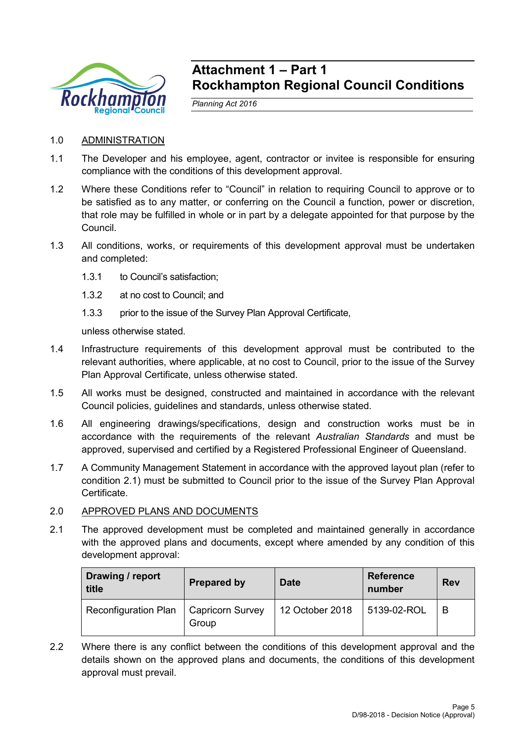

## **Attachment 1 – Part 1 Rockhampton Regional Council Conditions**

*Planning Act 2016*

## 1.0 ADMINISTRATION

- 1.1 The Developer and his employee, agent, contractor or invitee is responsible for ensuring compliance with the conditions of this development approval.
- 1.2 Where these Conditions refer to "Council" in relation to requiring Council to approve or to be satisfied as to any matter, or conferring on the Council a function, power or discretion, that role may be fulfilled in whole or in part by a delegate appointed for that purpose by the Council.
- 1.3 All conditions, works, or requirements of this development approval must be undertaken and completed:
	- 1.3.1 to Council's satisfaction;
	- 1.3.2 at no cost to Council; and
	- 1.3.3 prior to the issue of the Survey Plan Approval Certificate,

unless otherwise stated.

- 1.4 Infrastructure requirements of this development approval must be contributed to the relevant authorities, where applicable, at no cost to Council, prior to the issue of the Survey Plan Approval Certificate, unless otherwise stated.
- 1.5 All works must be designed, constructed and maintained in accordance with the relevant Council policies, guidelines and standards, unless otherwise stated.
- 1.6 All engineering drawings/specifications, design and construction works must be in accordance with the requirements of the relevant *Australian Standards* and must be approved, supervised and certified by a Registered Professional Engineer of Queensland.
- 1.7 A Community Management Statement in accordance with the approved layout plan (refer to condition 2.1) must be submitted to Council prior to the issue of the Survey Plan Approval Certificate.

## 2.0 APPROVED PLANS AND DOCUMENTS

2.1 The approved development must be completed and maintained generally in accordance with the approved plans and documents, except where amended by any condition of this development approval:

| Drawing / report<br>title   | <b>Prepared by</b>               | <b>Date</b>     | <b>Reference</b><br>number | <b>Rev</b> |
|-----------------------------|----------------------------------|-----------------|----------------------------|------------|
| <b>Reconfiguration Plan</b> | <b>Capricorn Survey</b><br>Group | 12 October 2018 | 5139-02-ROL                | B          |

2.2 Where there is any conflict between the conditions of this development approval and the details shown on the approved plans and documents, the conditions of this development approval must prevail.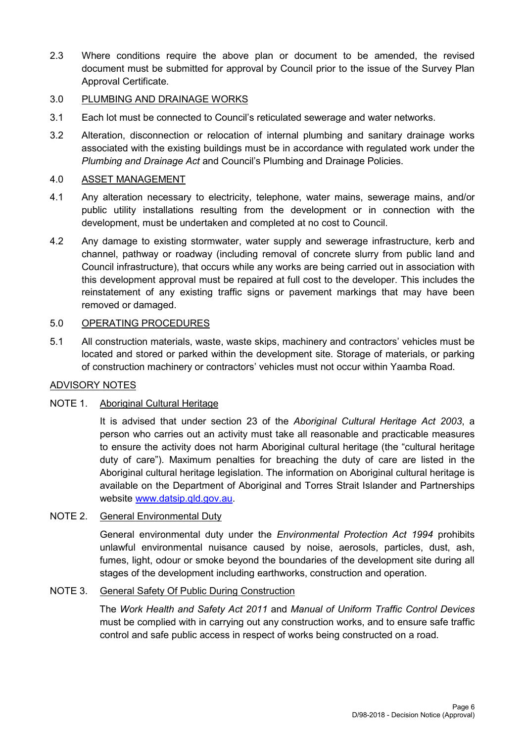2.3 Where conditions require the above plan or document to be amended, the revised document must be submitted for approval by Council prior to the issue of the Survey Plan Approval Certificate.

## 3.0 PLUMBING AND DRAINAGE WORKS

- 3.1 Each lot must be connected to Council's reticulated sewerage and water networks.
- 3.2 Alteration, disconnection or relocation of internal plumbing and sanitary drainage works associated with the existing buildings must be in accordance with regulated work under the *Plumbing and Drainage Act* and Council's Plumbing and Drainage Policies.

## 4.0 ASSET MANAGEMENT

- 4.1 Any alteration necessary to electricity, telephone, water mains, sewerage mains, and/or public utility installations resulting from the development or in connection with the development, must be undertaken and completed at no cost to Council.
- 4.2 Any damage to existing stormwater, water supply and sewerage infrastructure, kerb and channel, pathway or roadway (including removal of concrete slurry from public land and Council infrastructure), that occurs while any works are being carried out in association with this development approval must be repaired at full cost to the developer. This includes the reinstatement of any existing traffic signs or pavement markings that may have been removed or damaged.

## 5.0 OPERATING PROCEDURES

5.1 All construction materials, waste, waste skips, machinery and contractors' vehicles must be located and stored or parked within the development site. Storage of materials, or parking of construction machinery or contractors' vehicles must not occur within Yaamba Road.

## ADVISORY NOTES

## NOTE 1. Aboriginal Cultural Heritage

It is advised that under section 23 of the *Aboriginal Cultural Heritage Act 2003*, a person who carries out an activity must take all reasonable and practicable measures to ensure the activity does not harm Aboriginal cultural heritage (the "cultural heritage duty of care"). Maximum penalties for breaching the duty of care are listed in the Aboriginal cultural heritage legislation. The information on Aboriginal cultural heritage is available on the Department of Aboriginal and Torres Strait Islander and Partnerships website [www.datsip.qld.gov.au.](http://www.datsip.qld.gov.au/)

## NOTE 2. General Environmental Duty

General environmental duty under the *Environmental Protection Act 1994* prohibits unlawful environmental nuisance caused by noise, aerosols, particles, dust, ash, fumes, light, odour or smoke beyond the boundaries of the development site during all stages of the development including earthworks, construction and operation.

## NOTE 3. General Safety Of Public During Construction

The *Work Health and Safety Act 2011* and *Manual of Uniform Traffic Control Devices* must be complied with in carrying out any construction works, and to ensure safe traffic control and safe public access in respect of works being constructed on a road.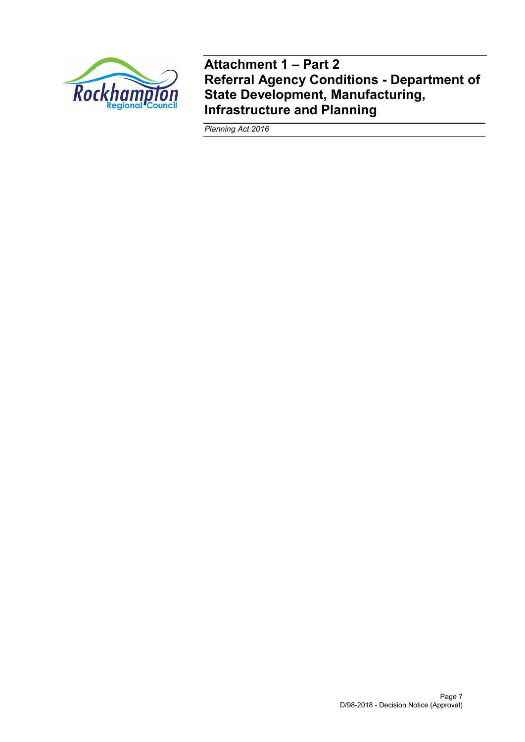

**Attachment 1 – Part 2 Referral Agency Conditions - Department of State Development, Manufacturing, Infrastructure and Planning**

*Planning Act 2016*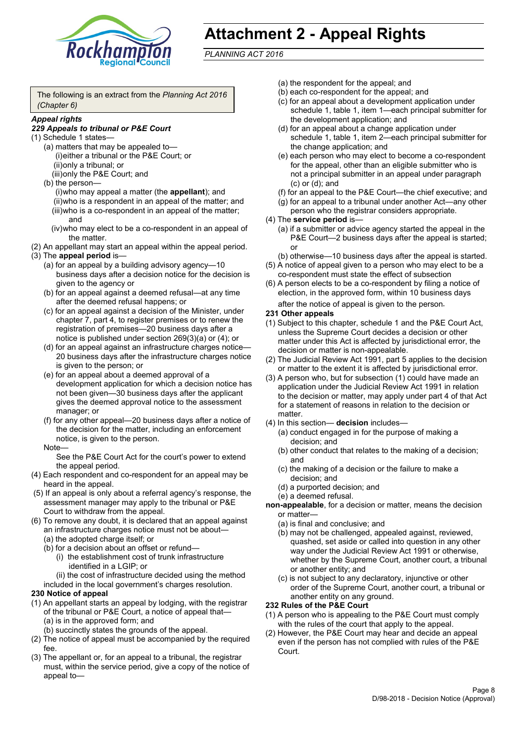

# **Attachment 2 - Appeal Rights**

*PLANNING ACT 2016*

The following is an extract from the *Planning Act 2016 (Chapter 6)*

#### *Appeal rights*

### *229 Appeals to tribunal or P&E Court*

- (1) Schedule 1 states—
	- (a) matters that may be appealed to— (i)either a tribunal or the P&E Court; or (ii)only a tribunal; or (iii)only the P&E Court; and
	- (b) the person—

(i)who may appeal a matter (the **appellant**); and (ii)who is a respondent in an appeal of the matter; and (iii)who is a co-respondent in an appeal of the matter; and

- (iv)who may elect to be a co-respondent in an appeal of the matter.
- (2) An appellant may start an appeal within the appeal period.
- (3) The **appeal period** is—
	- (a) for an appeal by a building advisory agency—10 business days after a decision notice for the decision is given to the agency or
	- (b) for an appeal against a deemed refusal—at any time after the deemed refusal happens; or
	- (c) for an appeal against a decision of the Minister, under chapter 7, part 4, to register premises or to renew the registration of premises—20 business days after a notice is published under section 269(3)(a) or (4); or
	- (d) for an appeal against an infrastructure charges notice— 20 business days after the infrastructure charges notice is given to the person; or
	- (e) for an appeal about a deemed approval of a development application for which a decision notice has not been given—30 business days after the applicant gives the deemed approval notice to the assessment manager; or
	- (f) for any other appeal—20 business days after a notice of the decision for the matter, including an enforcement notice, is given to the person.

#### Note—

See the P&E Court Act for the court's power to extend the appeal period.

- (4) Each respondent and co-respondent for an appeal may be heard in the appeal.
- (5) If an appeal is only about a referral agency's response, the assessment manager may apply to the tribunal or P&E Court to withdraw from the appeal.
- (6) To remove any doubt, it is declared that an appeal against an infrastructure charges notice must not be about—
	- (a) the adopted charge itself; or
	- (b) for a decision about an offset or refund—
		- (i) the establishment cost of trunk infrastructure identified in a LGIP; or
		- (ii) the cost of infrastructure decided using the method

included in the local government's charges resolution.

#### **230 Notice of appeal**

- (1) An appellant starts an appeal by lodging, with the registrar of the tribunal or P&E Court, a notice of appeal that—
	- (a) is in the approved form; and
	- (b) succinctly states the grounds of the appeal.
- (2) The notice of appeal must be accompanied by the required fee.
- (3) The appellant or, for an appeal to a tribunal, the registrar must, within the service period, give a copy of the notice of appeal to—
- (a) the respondent for the appeal; and
- (b) each co-respondent for the appeal; and
- (c) for an appeal about a development application under schedule 1, table 1, item 1—each principal submitter for the development application; and
- (d) for an appeal about a change application under schedule 1, table 1, item 2—each principal submitter for the change application; and
- (e) each person who may elect to become a co-respondent for the appeal, other than an eligible submitter who is not a principal submitter in an appeal under paragraph (c) or (d); and
- (f) for an appeal to the P&E Court—the chief executive; and
- (g) for an appeal to a tribunal under another Act—any other person who the registrar considers appropriate.
- (4) The **service period** is—
	- (a) if a submitter or advice agency started the appeal in the P&E Court—2 business days after the appeal is started; or
	- (b) otherwise—10 business days after the appeal is started.
- (5) A notice of appeal given to a person who may elect to be a co-respondent must state the effect of subsection
- (6) A person elects to be a co-respondent by filing a notice of election, in the approved form, within 10 business days after the notice of appeal is given to the person*.*
- **231 Other appeals**
- (1) Subject to this chapter, schedule 1 and the P&E Court Act, unless the Supreme Court decides a decision or other matter under this Act is affected by jurisdictional error, the decision or matter is non-appealable.
- (2) The Judicial Review Act 1991, part 5 applies to the decision or matter to the extent it is affected by jurisdictional error.
- (3) A person who, but for subsection (1) could have made an application under the Judicial Review Act 1991 in relation to the decision or matter, may apply under part 4 of that Act for a statement of reasons in relation to the decision or matter.
- (4) In this section— **decision** includes—
	- (a) conduct engaged in for the purpose of making a decision; and
	- (b) other conduct that relates to the making of a decision; and
	- (c) the making of a decision or the failure to make a decision; and
	- (d) a purported decision; and
	- (e) a deemed refusal.
- **non-appealable**, for a decision or matter, means the decision or matter—
	- (a) is final and conclusive; and
	- (b) may not be challenged, appealed against, reviewed, quashed, set aside or called into question in any other way under the Judicial Review Act 1991 or otherwise, whether by the Supreme Court, another court, a tribunal or another entity; and
	- (c) is not subject to any declaratory, injunctive or other order of the Supreme Court, another court, a tribunal or another entity on any ground.

#### **232 Rules of the P&E Court**

- (1) A person who is appealing to the P&E Court must comply with the rules of the court that apply to the appeal.
- (2) However, the P&E Court may hear and decide an appeal even if the person has not complied with rules of the P&E Court.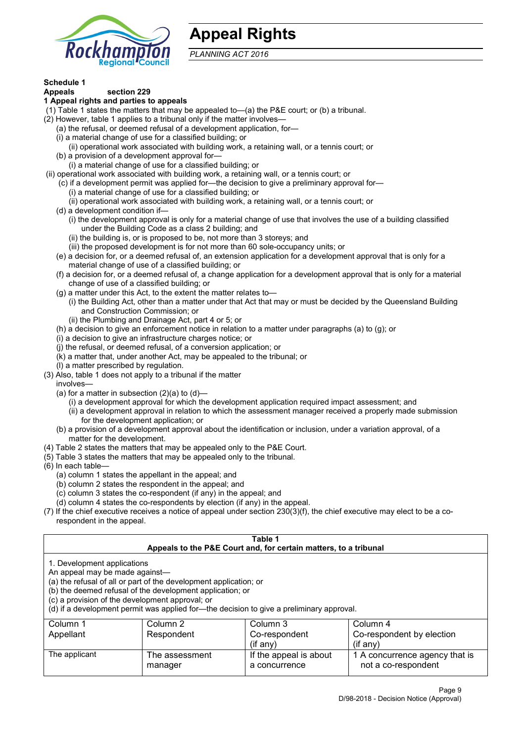

## **Appeal Rights**

*PLANNING ACT 2016*

# **Schedule 1**

#### **Appeals section 229 1 Appeal rights and parties to appeals**

- (1) Table 1 states the matters that may be appealed to—(a) the P&E court; or (b) a tribunal.
- (2) However, table 1 applies to a tribunal only if the matter involves—
	- (a) the refusal, or deemed refusal of a development application, for—
	- (i) a material change of use for a classified building; or
	- (ii) operational work associated with building work, a retaining wall, or a tennis court; or
	- (b) a provision of a development approval for—
	- (i) a material change of use for a classified building; or
- (ii) operational work associated with building work, a retaining wall, or a tennis court; or
	- (c) if a development permit was applied for—the decision to give a preliminary approval for—
		- (i) a material change of use for a classified building; or
	- (ii) operational work associated with building work, a retaining wall, or a tennis court; or
	- (d) a development condition if—
		- (i) the development approval is only for a material change of use that involves the use of a building classified under the Building Code as a class 2 building; and
		- (ii) the building is, or is proposed to be, not more than 3 storeys; and
		- (iii) the proposed development is for not more than 60 sole-occupancy units; or
	- (e) a decision for, or a deemed refusal of, an extension application for a development approval that is only for a material change of use of a classified building; or
	- (f) a decision for, or a deemed refusal of, a change application for a development approval that is only for a material change of use of a classified building; or
	- (g) a matter under this Act, to the extent the matter relates to—
		- (i) the Building Act, other than a matter under that Act that may or must be decided by the Queensland Building and Construction Commission; or
		- (ii) the Plumbing and Drainage Act, part 4 or 5; or
	- (h) a decision to give an enforcement notice in relation to a matter under paragraphs (a) to (g); or
	- (i) a decision to give an infrastructure charges notice; or
	- (j) the refusal, or deemed refusal, of a conversion application; or
	- (k) a matter that, under another Act, may be appealed to the tribunal; or
	- (l) a matter prescribed by regulation.
- (3) Also, table 1 does not apply to a tribunal if the matter

involves—

- (a) for a matter in subsection  $(2)(a)$  to  $(d)$ 
	- (i) a development approval for which the development application required impact assessment; and
	- (ii) a development approval in relation to which the assessment manager received a properly made submission for the development application; or
- (b) a provision of a development approval about the identification or inclusion, under a variation approval, of a matter for the development.
- (4) Table 2 states the matters that may be appealed only to the P&E Court.
- (5) Table 3 states the matters that may be appealed only to the tribunal.
- (6) In each table—
	- (a) column 1 states the appellant in the appeal; and
	- (b) column 2 states the respondent in the appeal; and
	- (c) column 3 states the co-respondent (if any) in the appeal; and
	- (d) column 4 states the co-respondents by election (if any) in the appeal.
- (7) If the chief executive receives a notice of appeal under section 230(3)(f), the chief executive may elect to be a corespondent in the appeal.

| Table 1                                                                                                                                                                                                                                                                                                                                        |                                  |                                                                  |                                                       |  |  |
|------------------------------------------------------------------------------------------------------------------------------------------------------------------------------------------------------------------------------------------------------------------------------------------------------------------------------------------------|----------------------------------|------------------------------------------------------------------|-------------------------------------------------------|--|--|
|                                                                                                                                                                                                                                                                                                                                                |                                  | Appeals to the P&E Court and, for certain matters, to a tribunal |                                                       |  |  |
| 1. Development applications<br>An appeal may be made against-<br>(a) the refusal of all or part of the development application; or<br>(b) the deemed refusal of the development application; or<br>(c) a provision of the development approval; or<br>(d) if a development permit was applied for-the decision to give a preliminary approval. |                                  |                                                                  |                                                       |  |  |
| Column 1                                                                                                                                                                                                                                                                                                                                       | Column 2<br>Column 3<br>Column 4 |                                                                  |                                                       |  |  |
| Appellant                                                                                                                                                                                                                                                                                                                                      | Respondent                       | Co-respondent                                                    | Co-respondent by election                             |  |  |
| $($ if any $)$<br>$(i$ f anv $)$                                                                                                                                                                                                                                                                                                               |                                  |                                                                  |                                                       |  |  |
| The applicant                                                                                                                                                                                                                                                                                                                                  | The assessment<br>manager        | If the appeal is about<br>a concurrence                          | 1 A concurrence agency that is<br>not a co-respondent |  |  |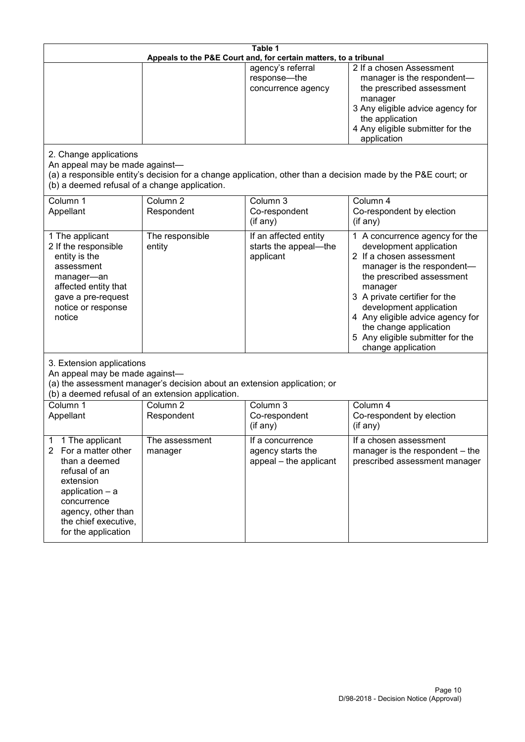| Table 1<br>Appeals to the P&E Court and, for certain matters, to a tribunal                                                                                                                                      |                                   |                                                                 |                                                                                                                                                                                                                                                                                                                                                 |  |
|------------------------------------------------------------------------------------------------------------------------------------------------------------------------------------------------------------------|-----------------------------------|-----------------------------------------------------------------|-------------------------------------------------------------------------------------------------------------------------------------------------------------------------------------------------------------------------------------------------------------------------------------------------------------------------------------------------|--|
|                                                                                                                                                                                                                  |                                   | agency's referral<br>response-the<br>concurrence agency         | 2 If a chosen Assessment<br>manager is the respondent-<br>the prescribed assessment<br>manager<br>3 Any eligible advice agency for<br>the application<br>4 Any eligible submitter for the<br>application                                                                                                                                        |  |
| 2. Change applications<br>An appeal may be made against-<br>(b) a deemed refusal of a change application.                                                                                                        |                                   |                                                                 | (a) a responsible entity's decision for a change application, other than a decision made by the P&E court; or                                                                                                                                                                                                                                   |  |
| Column 1<br>Appellant                                                                                                                                                                                            | Column <sub>2</sub><br>Respondent | Column 3<br>Co-respondent<br>(if any)                           | Column 4<br>Co-respondent by election<br>(if any)                                                                                                                                                                                                                                                                                               |  |
| 1 The applicant<br>2 If the responsible<br>entity is the<br>assessment<br>manager-an<br>affected entity that<br>gave a pre-request<br>notice or response<br>notice                                               | The responsible<br>entity         | If an affected entity<br>starts the appeal-the<br>applicant     | 1 A concurrence agency for the<br>development application<br>2 If a chosen assessment<br>manager is the respondent-<br>the prescribed assessment<br>manager<br>3 A private certifier for the<br>development application<br>4 Any eligible advice agency for<br>the change application<br>5 Any eligible submitter for the<br>change application |  |
| 3. Extension applications<br>An appeal may be made against-<br>(a) the assessment manager's decision about an extension application; or<br>(b) a deemed refusal of an extension application.                     |                                   |                                                                 |                                                                                                                                                                                                                                                                                                                                                 |  |
| Column 1<br>Appellant                                                                                                                                                                                            | Column <sub>2</sub><br>Respondent | Column 3<br>Co-respondent<br>(if any)                           | Column 4<br>Co-respondent by election<br>(if any)                                                                                                                                                                                                                                                                                               |  |
| 1 The applicant<br>1<br>For a matter other<br>$\mathbf{2}$<br>than a deemed<br>refusal of an<br>extension<br>application - a<br>concurrence<br>agency, other than<br>the chief executive,<br>for the application | The assessment<br>manager         | If a concurrence<br>agency starts the<br>appeal - the applicant | If a chosen assessment<br>manager is the respondent – the<br>prescribed assessment manager                                                                                                                                                                                                                                                      |  |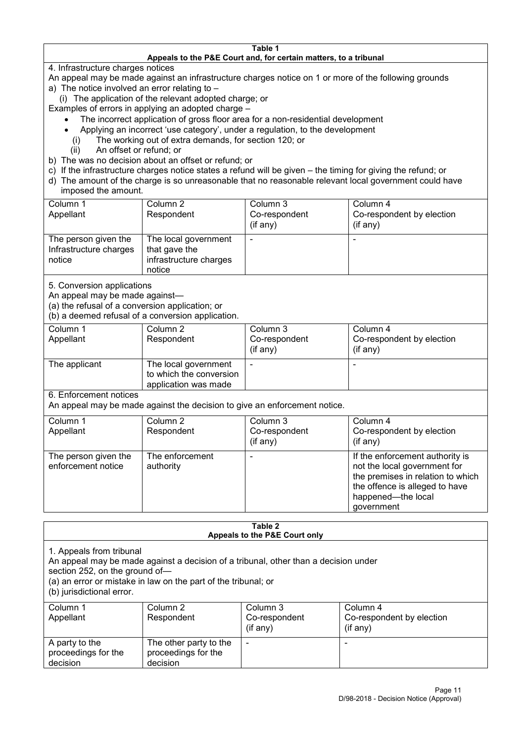#### **Table 1 Appeals to the P&E Court and, for certain matters, to a tribunal**

4. Infrastructure charges notices

- An appeal may be made against an infrastructure charges notice on 1 or more of the following grounds
- a) The notice involved an error relating to
	- (i) The application of the relevant adopted charge; or
- Examples of errors in applying an adopted charge
	- The incorrect application of gross floor area for a non-residential development
	- Applying an incorrect 'use category', under a regulation, to the development
	- (i) The working out of extra demands, for section 120; or
	- (ii) An offset or refund; or
- b) The was no decision about an offset or refund; or
- c) If the infrastructure charges notice states a refund will be given the timing for giving the refund; or
- d) The amount of the charge is so unreasonable that no reasonable relevant local government could have
- imposed the amount.

| Column 1                                                 | Column 2                                                                  | Column 3      | Column 4                  |
|----------------------------------------------------------|---------------------------------------------------------------------------|---------------|---------------------------|
| Appellant                                                | Respondent                                                                | Co-respondent | Co-respondent by election |
|                                                          |                                                                           | (if any)      | $(if$ any)                |
| The person given the<br>Infrastructure charges<br>notice | The local government<br>that gave the<br>infrastructure charges<br>notice |               |                           |

5. Conversion applications

An appeal may be made against—

(a) the refusal of a conversion application; or

(b) a deemed refusal of a conversion application.

| Column 1<br>Appellant | Column 2<br>Respondent                                                  | Column 3<br>Co-respondent<br>(if any) | Column 4<br>Co-respondent by election<br>$($ if any $)$ |
|-----------------------|-------------------------------------------------------------------------|---------------------------------------|---------------------------------------------------------|
| The applicant         | The local government<br>to which the conversion<br>application was made | -                                     | -                                                       |

6. Enforcement notices

An appeal may be made against the decision to give an enforcement notice.

| Column 1                                   | Column 2                     | Column 3      | Column 4                                                                                                                                                                   |
|--------------------------------------------|------------------------------|---------------|----------------------------------------------------------------------------------------------------------------------------------------------------------------------------|
| Appellant                                  | Respondent                   | Co-respondent | Co-respondent by election                                                                                                                                                  |
|                                            |                              | (if any)      | $($ if any $)$                                                                                                                                                             |
| The person given the<br>enforcement notice | The enforcement<br>authority |               | If the enforcement authority is<br>not the local government for<br>the premises in relation to which<br>the offence is alleged to have<br>happened-the local<br>government |

#### **Table 2 Appeals to the P&E Court only**

1. Appeals from tribunal

An appeal may be made against a decision of a tribunal, other than a decision under

section 252, on the ground of—

(a) an error or mistake in law on the part of the tribunal; or

(b) jurisdictional error.

| Column 1<br>Appellant                             | Column 2<br>Respondent                                    | Column 3<br>Co-respondent<br>$($ if any $)$ | Column 4<br>Co-respondent by election<br>$($ if any $)$ |
|---------------------------------------------------|-----------------------------------------------------------|---------------------------------------------|---------------------------------------------------------|
| A party to the<br>proceedings for the<br>decision | The other party to the<br>proceedings for the<br>decision | $\overline{\phantom{a}}$                    |                                                         |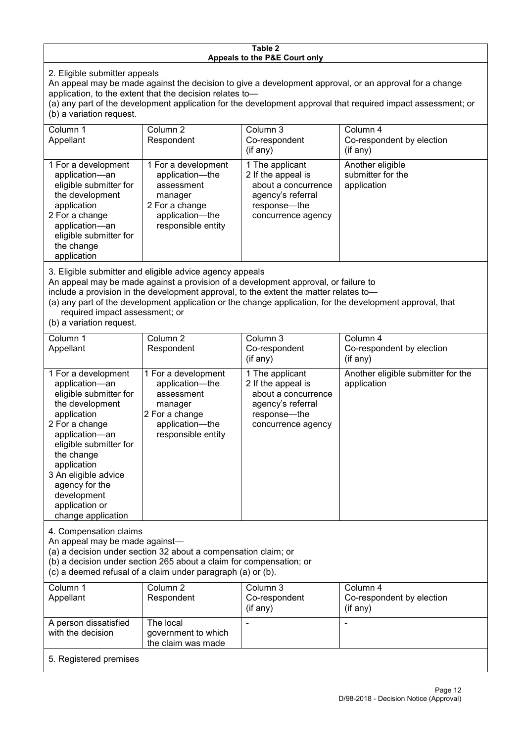#### **Table 2 Appeals to the P&E Court only**

2. Eligible submitter appeals

An appeal may be made against the decision to give a development approval, or an approval for a change application, to the extent that the decision relates to—

(a) any part of the development application for the development approval that required impact assessment; or (b) a variation request.

| Column 1<br>Appellant                                                                                                                                                                                                                                                                                                                                | Column <sub>2</sub><br>Respondent                                                                                          | Column 3<br>Co-respondent<br>$($ if any $)$                                                                             | Column 4<br>Co-respondent by election<br>$($ if any $)$ |  |
|------------------------------------------------------------------------------------------------------------------------------------------------------------------------------------------------------------------------------------------------------------------------------------------------------------------------------------------------------|----------------------------------------------------------------------------------------------------------------------------|-------------------------------------------------------------------------------------------------------------------------|---------------------------------------------------------|--|
| 1 For a development<br>application-an<br>eligible submitter for<br>the development<br>application<br>2 For a change<br>application-an<br>eligible submitter for<br>the change<br>application                                                                                                                                                         | 1 For a development<br>application—the<br>assessment<br>manager<br>2 For a change<br>application—the<br>responsible entity | 1 The applicant<br>2 If the appeal is<br>about a concurrence<br>agency's referral<br>response—the<br>concurrence agency | Another eligible<br>submitter for the<br>application    |  |
| 3. Eligible submitter and eligible advice agency appeals<br>An appeal may be made against a provision of a development approval, or failure to<br>include a provision in the development approval, to the extent the matter relates to-<br>(a) any part of the development application or the change application, for the development approval, that |                                                                                                                            |                                                                                                                         |                                                         |  |

required impact assessment; or

(b) a variation request.

| Column 1<br>Appellant                                                                                                                                                                                                                                                                         | Column 2<br>Respondent                                                                                                     | Column 3<br>Co-respondent                                                                                               | Column 4<br>Co-respondent by election             |  |
|-----------------------------------------------------------------------------------------------------------------------------------------------------------------------------------------------------------------------------------------------------------------------------------------------|----------------------------------------------------------------------------------------------------------------------------|-------------------------------------------------------------------------------------------------------------------------|---------------------------------------------------|--|
|                                                                                                                                                                                                                                                                                               |                                                                                                                            | $($ if any $)$                                                                                                          | $(i$ f any)                                       |  |
| 1 For a development<br>application-an<br>eligible submitter for<br>the development<br>application<br>2 For a change<br>application-an<br>eligible submitter for<br>the change<br>application<br>3 An eligible advice<br>agency for the<br>development<br>application or<br>change application | 1 For a development<br>application-the<br>assessment<br>manager<br>2 For a change<br>application-the<br>responsible entity | 1 The applicant<br>2 If the appeal is<br>about a concurrence<br>agency's referral<br>response-the<br>concurrence agency | Another eligible submitter for the<br>application |  |
| 4. Compensation claims<br>An appeal may be made against-<br>(a) a decision under section 32 about a compensation claim; or<br>(b) a decision under section 265 about a claim for compensation; or<br>(c) a deemed refusal of a claim under paragraph (a) or (b).                              |                                                                                                                            |                                                                                                                         |                                                   |  |
| Column 1                                                                                                                                                                                                                                                                                      | Column 2                                                                                                                   | Column 3                                                                                                                | Column 4                                          |  |
| Appellant                                                                                                                                                                                                                                                                                     | Respondent                                                                                                                 | Co-respondent<br>(if any)                                                                                               | Co-respondent by election<br>(if any)             |  |
| A person dissatisfied                                                                                                                                                                                                                                                                         | The local                                                                                                                  |                                                                                                                         |                                                   |  |

with the decision government to which

the claim was made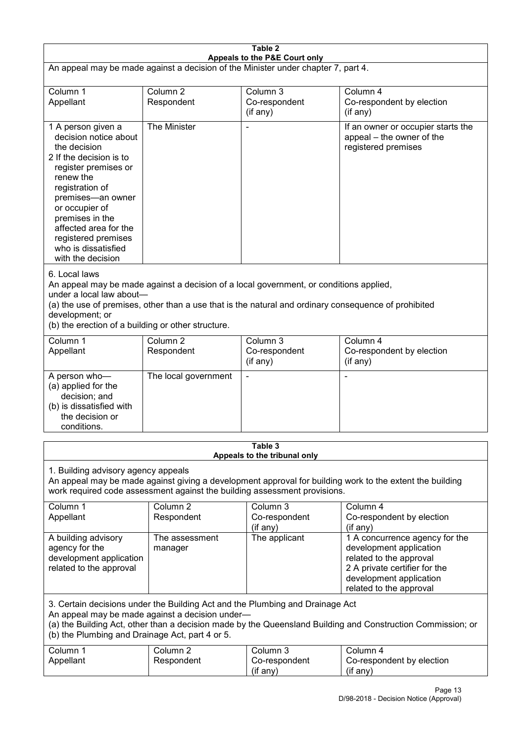| Table 2<br>Appeals to the P&E Court only                                                                                                                                                                                                                                                             |                                   |                                                                                                                                                                                                |                                                                                                                                                                             |  |
|------------------------------------------------------------------------------------------------------------------------------------------------------------------------------------------------------------------------------------------------------------------------------------------------------|-----------------------------------|------------------------------------------------------------------------------------------------------------------------------------------------------------------------------------------------|-----------------------------------------------------------------------------------------------------------------------------------------------------------------------------|--|
| An appeal may be made against a decision of the Minister under chapter 7, part 4.                                                                                                                                                                                                                    |                                   |                                                                                                                                                                                                |                                                                                                                                                                             |  |
| Column 1<br>Appellant                                                                                                                                                                                                                                                                                | Column <sub>2</sub><br>Respondent | Column 3<br>Co-respondent<br>(if any)                                                                                                                                                          | Column 4<br>Co-respondent by election<br>(if any)                                                                                                                           |  |
| 1 A person given a<br>decision notice about<br>the decision<br>2 If the decision is to<br>register premises or<br>renew the<br>registration of<br>premises-an owner<br>or occupier of<br>premises in the<br>affected area for the<br>registered premises<br>who is dissatisfied<br>with the decision | The Minister                      |                                                                                                                                                                                                | If an owner or occupier starts the<br>appeal – the owner of the<br>registered premises                                                                                      |  |
| 6. Local laws<br>under a local law about-<br>development; or<br>(b) the erection of a building or other structure.                                                                                                                                                                                   |                                   | An appeal may be made against a decision of a local government, or conditions applied,<br>(a) the use of premises, other than a use that is the natural and ordinary consequence of prohibited |                                                                                                                                                                             |  |
| Column 1<br>Appellant                                                                                                                                                                                                                                                                                | Column <sub>2</sub><br>Respondent | Column 3<br>Co-respondent<br>(if any)                                                                                                                                                          | Column 4<br>Co-respondent by election<br>(if any)                                                                                                                           |  |
| A person who-<br>(a) applied for the<br>decision; and<br>(b) is dissatisfied with<br>the decision or<br>conditions.                                                                                                                                                                                  | The local government              |                                                                                                                                                                                                | L,                                                                                                                                                                          |  |
|                                                                                                                                                                                                                                                                                                      |                                   | Table 3<br>Appeals to the tribunal only                                                                                                                                                        |                                                                                                                                                                             |  |
| 1. Building advisory agency appeals<br>An appeal may be made against giving a development approval for building work to the extent the building<br>work required code assessment against the building assessment provisions.                                                                         |                                   |                                                                                                                                                                                                |                                                                                                                                                                             |  |
| Column 1<br>Appellant                                                                                                                                                                                                                                                                                | Column <sub>2</sub><br>Respondent | Column 3<br>Co-respondent<br>(if any)                                                                                                                                                          | Column 4<br>Co-respondent by election<br>(if any)                                                                                                                           |  |
| A building advisory<br>agency for the<br>development application<br>related to the approval                                                                                                                                                                                                          | The assessment<br>manager         | The applicant                                                                                                                                                                                  | 1 A concurrence agency for the<br>development application<br>related to the approval<br>2 A private certifier for the<br>development application<br>related to the approval |  |
| 3. Certain decisions under the Building Act and the Plumbing and Drainage Act<br>An appeal may be made against a decision under-<br>(a) the Building Act, other than a decision made by the Queensland Building and Construction Commission; or<br>(b) the Plumbing and Drainage Act, part 4 or 5.   |                                   |                                                                                                                                                                                                |                                                                                                                                                                             |  |
| Column 1<br>Appellant                                                                                                                                                                                                                                                                                | Column <sub>2</sub><br>Respondent | Column 3<br>Co-respondent<br>(if any)                                                                                                                                                          | Column 4<br>Co-respondent by election<br>(if any)                                                                                                                           |  |